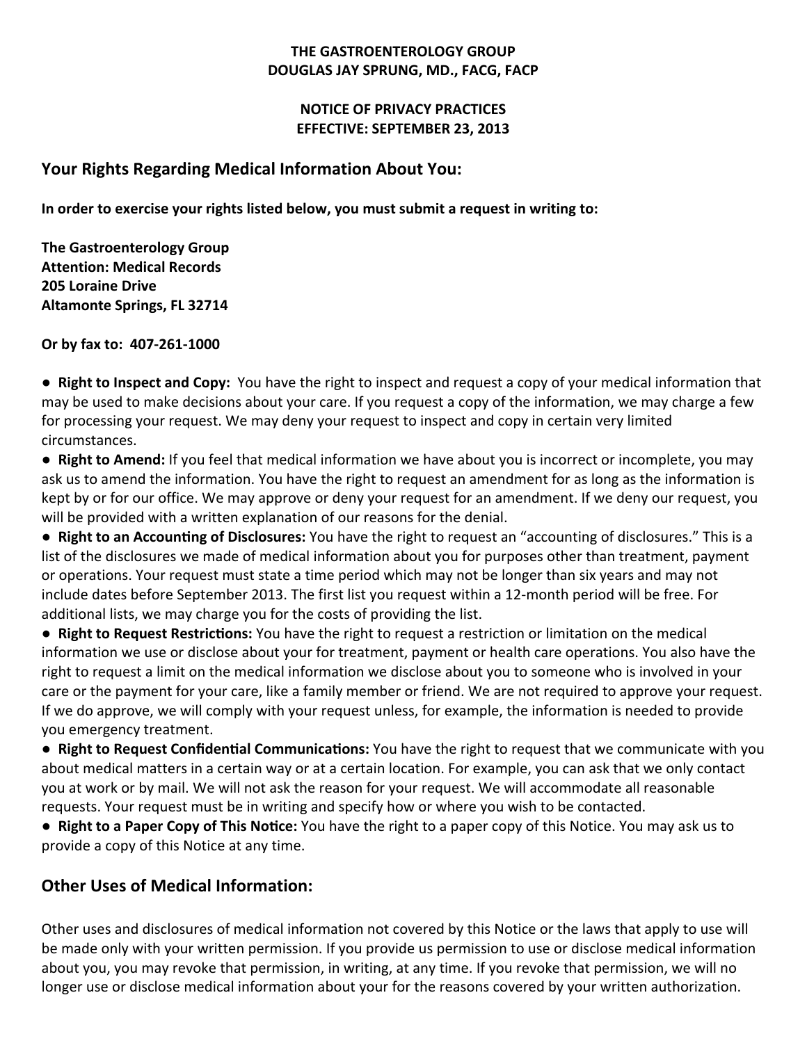#### **THE GASTROENTEROLOGY GROUP DOUGLAS JAY SPRUNG, MD., FACG, FACP**

### **NOTICE OF PRIVACY PRACTICES EFFECTIVE: SEPTEMBER 23, 2013**

### **Your Rights Regarding Medical Information About You:**

**In order to exercise your rights listed below, you must submit a request in writing to:**

**The Gastroenterology Group Attention: Medical Records 205 Loraine Drive Altamonte Springs, FL 32714**

**Or by fax to: 407‐261‐1000**

**● Right to Inspect and Copy:** You have the right to inspect and request a copy of your medical information that may be used to make decisions about your care. If you request a copy of the information, we may charge a few for processing your request. We may deny your request to inspect and copy in certain very limited circumstances.

**● Right to Amend:** If you feel that medical information we have about you is incorrect or incomplete, you may ask us to amend the information. You have the right to request an amendment for as long as the information is kept by or for our office. We may approve or deny your request for an amendment. If we deny our request, you will be provided with a written explanation of our reasons for the denial.

**• Right to an Accounting of Disclosures:** You have the right to request an "accounting of disclosures." This is a list of the disclosures we made of medical information about you for purposes other than treatment, payment or operations. Your request must state a time period which may not be longer than six years and may not include dates before September 2013. The first list you request within a 12‐month period will be free. For additional lists, we may charge you for the costs of providing the list.

**● Right to Request RestricƟons:** You have the right to request a restriction or limitation on the medical information we use or disclose about your for treatment, payment or health care operations. You also have the right to request a limit on the medical information we disclose about you to someone who is involved in your care or the payment for your care, like a family member or friend. We are not required to approve your request. If we do approve, we will comply with your request unless, for example, the information is needed to provide you emergency treatment.

**• Right to Request Confidential Communications: You have the right to request that we communicate with you** about medical matters in a certain way or at a certain location. For example, you can ask that we only contact you at work or by mail. We will not ask the reason for your request. We will accommodate all reasonable requests. Your request must be in writing and specify how or where you wish to be contacted.

**● Right to a Paper Copy of This NoƟce:** You have the right to a paper copy of this Notice. You may ask us to provide a copy of this Notice at any time.

## **Other Uses of Medical Information:**

Other uses and disclosures of medical information not covered by this Notice or the laws that apply to use will be made only with your written permission. If you provide us permission to use or disclose medical information about you, you may revoke that permission, in writing, at any time. If you revoke that permission, we will no longer use or disclose medical information about your for the reasons covered by your written authorization.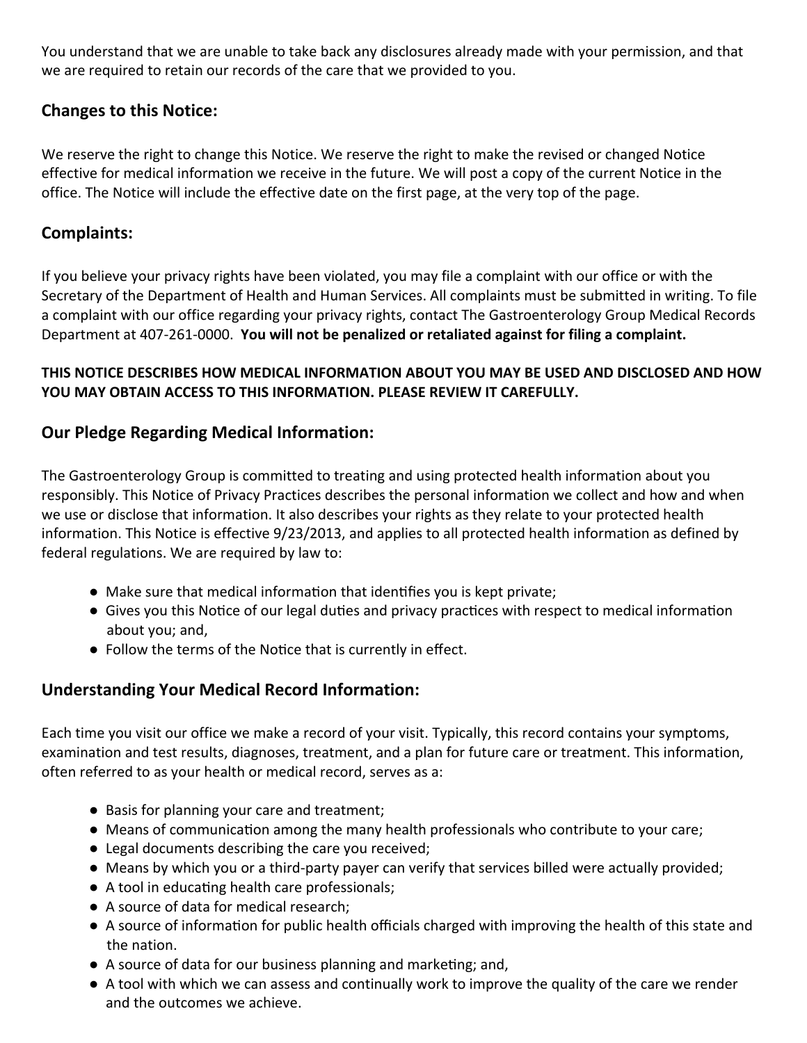You understand that we are unable to take back any disclosures already made with your permission, and that we are required to retain our records of the care that we provided to you.

## **Changes to this Notice:**

We reserve the right to change this Notice. We reserve the right to make the revised or changed Notice effective for medical information we receive in the future. We will post a copy of the current Notice in the office. The Notice will include the effective date on the first page, at the very top of the page.

### **Complaints:**

If you believe your privacy rights have been violated, you may file a complaint with our office or with the Secretary of the Department of Health and Human Services. All complaints must be submitted in writing. To file a complaint with our office regarding your privacy rights, contact The Gastroenterology Group Medical Records Department at 407‐261‐0000. **You will not be penalized or retaliated against for filing a complaint.**

### **THIS NOTICE DESCRIBES HOW MEDICAL INFORMATION ABOUT YOU MAY BE USED AND DISCLOSED AND HOW YOU MAY OBTAIN ACCESS TO THIS INFORMATION. PLEASE REVIEW IT CAREFULLY.**

## **Our Pledge Regarding Medical Information:**

The Gastroenterology Group is committed to treating and using protected health information about you responsibly. This Notice of Privacy Practices describes the personal information we collect and how and when we use or disclose that information. It also describes your rights as they relate to your protected health information. This Notice is effective 9/23/2013, and applies to all protected health information as defined by federal regulations. We are required by law to:

- Make sure that medical information that identifies you is kept private;
- Gives you this Notice of our legal duties and privacy practices with respect to medical information about you; and,
- Follow the terms of the Notice that is currently in effect.

## **Understanding Your Medical Record Information:**

Each time you visit our office we make a record of your visit. Typically, this record contains your symptoms, examination and test results, diagnoses, treatment, and a plan for future care or treatment. This information, often referred to as your health or medical record, serves as a:

- Basis for planning your care and treatment;
- $\bullet$  Means of communication among the many health professionals who contribute to your care;
- Legal documents describing the care you received;
- Means by which you or a third-party payer can verify that services billed were actually provided;
- A tool in educating health care professionals;
- A source of data for medical research;
- A source of information for public health officials charged with improving the health of this state and the nation.
- A source of data for our business planning and marketing; and,
- A tool with which we can assess and continually work to improve the quality of the care we render and the outcomes we achieve.